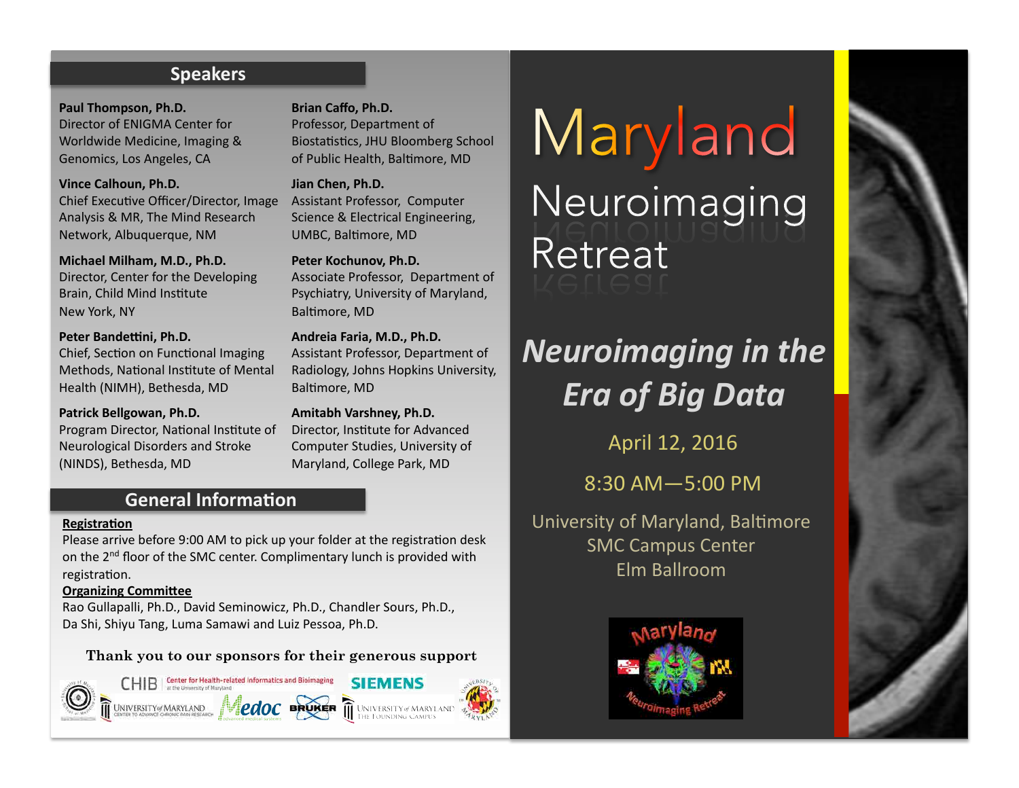## **Speakers**

Paul Thompson, Ph.D. Director of ENIGMA Center for Worldwide Medicine, Imaging & Genomics, Los Angeles, CA

**Vince Calhoun, Ph.D.** Chief Executive Officer/Director, Image Assistant Professor, Computer Analysis & MR, The Mind Research Network, Albuquerque, NM

**Michael Milham, M.D., Ph.D.** Director, Center for the Developing Brain, Child Mind Institute New York, NY

**Peter Bandettini, Ph.D.** Chief, Section on Functional Imaging Methods, National Institute of Mental Health (NIMH), Bethesda, MD

**Patrick Bellgowan, Ph.D.** Program Director, National Institute of Neurological Disorders and Stroke (NINDS), Bethesda, MD

Brian Caffo, Ph.D. Professor, Department of Biostatistics, JHU Bloomberg School

of Public Health, Baltimore, MD

Jian Chen, Ph.D. Science & Electrical Engineering, UMBC, Baltimore, MD

Peter Kochunov, Ph.D. Associate Professor, Department of Psychiatry, University of Maryland, Baltimore, MD

**Andreia Faria, M.D., Ph.D.**  Assistant Professor, Department of Radiology, Johns Hopkins University, Baltimore, MD

**Amitabh Varshney, Ph.D.**  Director, Institute for Advanced Computer Studies, University of Maryland, College Park, MD

# **General Information**

#### **Registration**

Please arrive before 9:00 AM to pick up your folder at the registration desk on the 2<sup>nd</sup> floor of the SMC center. Complimentary lunch is provided with registration.

#### **Organizing Committee**

Rao Gullapalli, Ph.D., David Seminowicz, Ph.D., Chandler Sours, Ph.D., Da Shi, Shiyu Tang, Luma Samawi and Luiz Pessoa, Ph.D.

## **Thank you to our sponsors for their generous support**



Maryland Neuroimaging Retreat

# *Neuroimaging in the Era of Big Data*

April 12, 2016

8:30 AM—5:00 PM 

University of Maryland, Baltimore **SMC Campus Center** Elm Ballroom